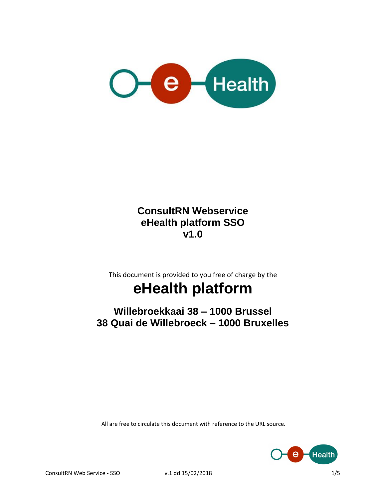

#### **ConsultRN Webservice eHealth platform SSO v1.0**

This document is provided to you free of charge by the

# **eHealth platform**

**Willebroekkaai 38 – 1000 Brussel 38 Quai de Willebroeck – 1000 Bruxelles**

All are free to circulate this document with reference to the URL source.

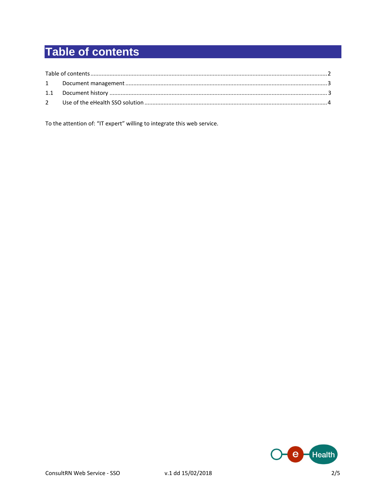# **Table of contents**

To the attention of: "IT expert" willing to integrate this web service.

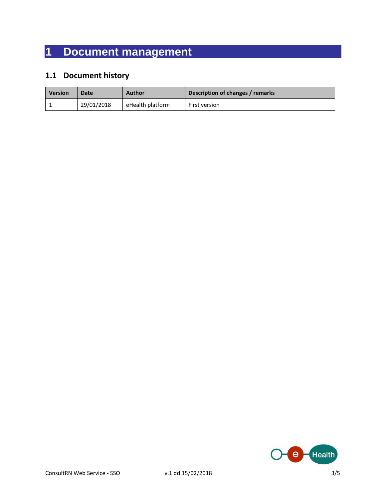## **1 Document management**

#### **1.1 Document history**

| <b>Version</b> | Date       | <b>Author</b>    | Description of changes / remarks |
|----------------|------------|------------------|----------------------------------|
|                | 29/01/2018 | eHealth platform | First version                    |

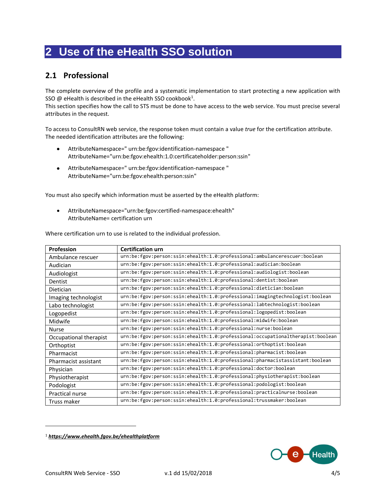### **2 Use of the eHealth SSO solution**

#### **2.1 Professional**

The complete overview of the profile and a systematic implementation to start protecting a new application with SSO @ eHealth is described in the eHealth SSO cookbook<sup>1</sup>.

This section specifies how the call to STS must be done to have access to the web service. You must precise several attributes in the request.

To access to ConsultRN web service, the response token must contain a value *true* for the certification attribute. The needed identification attributes are the following:

- AttributeNamespace=" urn:be:fgov:identification-namespace " AttributeName="urn:be:fgov:ehealth:1.0:certificateholder:person:ssin"
- AttributeNamespace=" urn:be:fgov:identification-namespace " AttributeName="urn:be:fgov:ehealth:person:ssin"

You must also specify which information must be asserted by the eHealth platform:

 AttributeNamespace="urn:be:fgov:certified-namespace:ehealth" AttributeName= certification urn

Where certification urn to use is related to the individual profession.

| Profession             | <b>Certification urn</b>                                                       |
|------------------------|--------------------------------------------------------------------------------|
| Ambulance rescuer      | urn:be:fgov:person:ssin:ehealth:1.0:professional:ambulancerescuer:boolean      |
| Audician               | urn:be:fgov:person:ssin:ehealth:1.0:professional:audician:boolean              |
| Audiologist            | urn:be:fgov:person:ssin:ehealth:1.0:professional:audiologist:boolean           |
| Dentist                | urn:be:fgov:person:ssin:ehealth:1.0:professional:dentist:boolean               |
| <b>Dietician</b>       | urn:be:fgov:person:ssin:ehealth:1.0:professional:dietician:boolean             |
| Imaging technologist   | urn:be:fgov:person:ssin:ehealth:1.0:professional:imagingtechnologist:boolean   |
| Labo technologist      | urn:be:fgov:person:ssin:ehealth:1.0:professional:labtechnologist:boolean       |
| Logopedist             | urn:be:fgov:person:ssin:ehealth:1.0:professional:logopedist:boolean            |
| Midwife                | urn:be:fgov:person:ssin:ehealth:1.0:professional:midwife:boolean               |
| <b>Nurse</b>           | urn:be:fgov:person:ssin:ehealth:1.0:professional:nurse:boolean                 |
| Occupational therapist | urn:be:fgov:person:ssin:ehealth:1.0:professional:occupationaltherapist:boolean |
| Orthoptist             | urn:be:fgov:person:ssin:ehealth:1.0:professional:orthoptist:boolean            |
| Pharmacist             | urn:be:fgov:person:ssin:ehealth:1.0:professional:pharmacist:boolean            |
| Pharmacist assistant   | urn:be:fgov:person:ssin:ehealth:1.0:professional:pharmacistassistant:boolean   |
| Physician              | urn:be:fgov:person:ssin:ehealth:1.0:professional:doctor:boolean                |
| Physiotherapist        | urn:be:fgov:person:ssin:ehealth:1.0:professional:physiotherapist:boolean       |
| Podologist             | urn:be:fgov:person:ssin:ehealth:1.0:professional:podologist:boolean            |
| Practical nurse        | urn:be:fgov:person:ssin:ehealth:1.0:professional:practicalnurse:boolean        |
| Truss maker            | urn:be:fgov:person:ssin:ehealth:1.0:professional:trussmaker:boolean            |

<sup>1</sup> *<https://www.ehealth.fgov.be/ehealthplatform>*



 $\overline{a}$